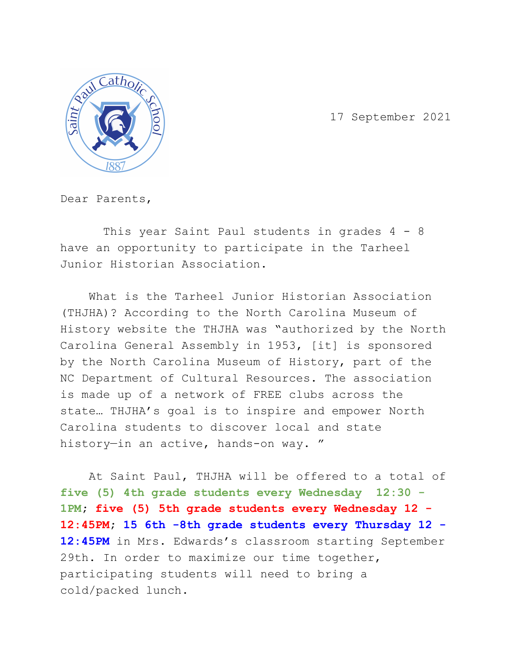

17 September 2021

Dear Parents,

This year Saint Paul students in grades 4 - 8 have an opportunity to participate in the Tarheel Junior Historian Association.

What is the Tarheel Junior Historian Association (THJHA)? According to the North Carolina Museum of History website the THJHA was "authorized by the North Carolina General Assembly in 1953, [it] is sponsored by the North Carolina Museum of History, part of the NC Department of Cultural Resources. The association is made up of a network of FREE clubs across the state… THJHA's goal is to inspire and empower North Carolina students to discover local and state history—in an active, hands-on way. "

At Saint Paul, THJHA will be offered to a total of **five (5) 4th grade students every Wednesday 12:30 - 1PM; five (5) 5th grade students every Wednesday 12 - 12:45PM; 15 6th -8th grade students every Thursday 12 -** 12:45PM in Mrs. Edwards's classroom starting September 29th. In order to maximize our time together, participating students will need to bring a cold/packed lunch.